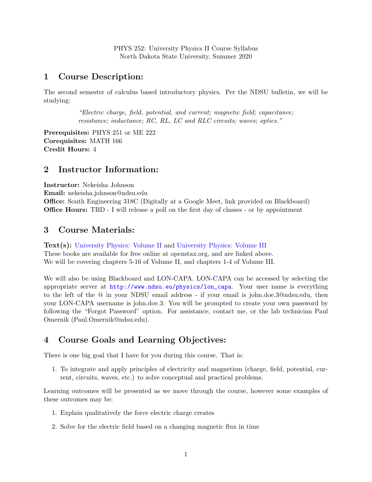PHYS 252: University Physics II Course Syllabus North Dakota State University, Summer 2020

#### 1 Course Description:

The second semester of calculus based introductory physics. Per the NDSU bulletin, we will be studying:

> "Electric charge, field, potential, and current; magnetic field; capacitance; resistance; inductance; RC, RL, LC and RLC circuits; waves; optics."

Prerequisites: PHYS 251 or ME 222 Corequisites: MATH 166 Credit Hours: 4

#### 2 Instructor Information:

Instructor: Nekeisha Johnson Email: nekeisha.johnson@ndsu.edu Office: South Engineering 318C (Digitally at a Google Meet, link provided on Blackboard) Office Hours: TBD - I will release a poll on the first day of classes - or by appointment

#### 3 Course Materials:

Text(s): [University Physics: Volume II](https://openstax.org/books/university-physics-volume-2/pages/1-introduction) and [University Physics: Volume III](https://openstax.org/books/university-physics-volume-3/pages/1-introduction) These books are available for free online at openstax.org, and are linked above. We will be covering chapters 5-16 of Volume II, and chapters 1-4 of Volume III.

We will also be using Blackboard and LON-CAPA. LON-CAPA can be accessed by selecting the appropriate server at [http://www.ndsu.eu/physics/lon\\_capa](http://www.ndsu.eu/physics/lon_capa). Your user name is everything to the left of the @ in your NDSU email address - if your email is john.doe.3@ndsu.edu, then your LON-CAPA username is john.doe.3. You will be prompted to create your own password by following the "Forgot Password" option. For assistance, contact me, or the lab technician Paul Omernik (Paul.Omernik@ndsu.edu).

# 4 Course Goals and Learning Objectives:

There is one big goal that I have for you during this course. That is:

1. To integrate and apply principles of electricity and magnetism (charge, field, potential, current, circuits, waves, etc.) to solve conceptual and practical problems.

Learning outcomes will be presented as we move through the course, however some examples of these outcomes may be:

- 1. Explain qualitatively the force electric charge creates
- 2. Solve for the electric field based on a changing magnetic flux in time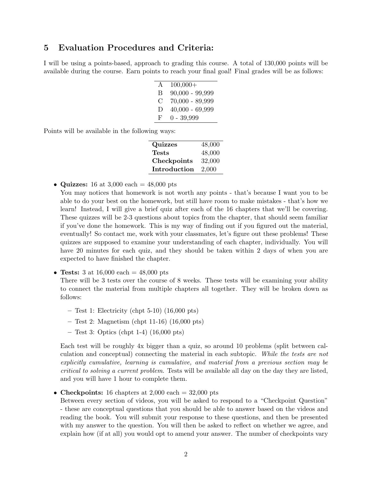#### 5 Evaluation Procedures and Criteria:

I will be using a points-based, approach to grading this course. A total of 130,000 points will be available during the course. Earn points to reach your final goal! Final grades will be as follows:

| A             | $100,000+$        |
|---------------|-------------------|
| В             | $90,000 - 99,999$ |
| $\mathcal{C}$ | $70,000 - 89,999$ |
| Ð             | $40,000 - 69,999$ |
| F             | $0 - 39,999$      |

Points will be available in the following ways:

| Quizzes      | 48,000 |
|--------------|--------|
| Tests        | 48,000 |
| Checkpoints  | 32,000 |
| Introduction | 2,000  |
|              |        |

• Quizzes: 16 at 3,000 each  $= 48,000$  pts

You may notices that homework is not worth any points - that's because I want you to be able to do your best on the homework, but still have room to make mistakes - that's how we learn! Instead, I will give a brief quiz after each of the 16 chapters that we'll be covering. These quizzes will be 2-3 questions about topics from the chapter, that should seem familiar if you've done the homework. This is my way of finding out if you figured out the material, eventually! So contact me, work with your classmates, let's figure out these problems! These quizzes are supposed to examine your understanding of each chapter, individually. You will have 20 minutes for each quiz, and they should be taken within 2 days of when you are expected to have finished the chapter.

• Tests: 3 at 16,000 each  $= 48,000$  pts

There will be 3 tests over the course of 8 weeks. These tests will be examining your ability to connect the material from multiple chapters all together. They will be broken down as follows:

- Test 1: Electricity (chpt 5-10) (16,000 pts)
- Test 2: Magnetism (chpt 11-16) (16,000 pts)
- $-$  Test 3: Optics (chpt 1-4) (16,000 pts)

Each test will be roughly 4x bigger than a quiz, so around 10 problems (split between calculation and conceptual) connecting the material in each subtopic. While the tests are not explicitly cumulative, learning is cumulative, and material from a previous section may be critical to solving a current problem. Tests will be available all day on the day they are listed, and you will have 1 hour to complete them.

• Checkpoints: 16 chapters at  $2,000$  each  $= 32,000$  pts

Between every section of videos, you will be asked to respond to a "Checkpoint Question" - these are conceptual questions that you should be able to answer based on the videos and reading the book. You will submit your response to these questions, and then be presented with my answer to the question. You will then be asked to reflect on whether we agree, and explain how (if at all) you would opt to amend your answer. The number of checkpoints vary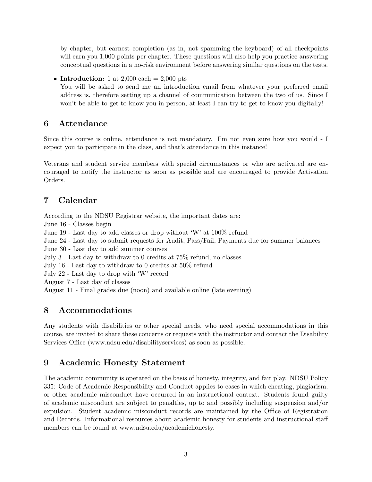by chapter, but earnest completion (as in, not spamming the keyboard) of all checkpoints will earn you 1,000 points per chapter. These questions will also help you practice answering conceptual questions in a no-risk environment before answering similar questions on the tests.

• Introduction: 1 at 2,000 each  $= 2,000$  pts

You will be asked to send me an introduction email from whatever your preferred email address is, therefore setting up a channel of communication between the two of us. Since I won't be able to get to know you in person, at least I can try to get to know you digitally!

## 6 Attendance

Since this course is online, attendance is not mandatory. I'm not even sure how you would - I expect you to participate in the class, and that's attendance in this instance!

Veterans and student service members with special circumstances or who are activated are encouraged to notify the instructor as soon as possible and are encouraged to provide Activation Orders.

# 7 Calendar

According to the NDSU Registrar website, the important dates are:

June 16 - Classes begin

June 19 - Last day to add classes or drop without 'W' at 100% refund

June 24 - Last day to submit requests for Audit, Pass/Fail, Payments due for summer balances

June 30 - Last day to add summer courses

July 3 - Last day to withdraw to 0 credits at 75% refund, no classes

July 16 - Last day to withdraw to 0 credits at 50% refund

July 22 - Last day to drop with 'W' record

August 7 - Last day of classes

August 11 - Final grades due (noon) and available online (late evening)

## 8 Accommodations

Any students with disabilities or other special needs, who need special accommodations in this course, are invited to share these concerns or requests with the instructor and contact the Disability Services Office (www.ndsu.edu/disabilityservices) as soon as possible.

## 9 Academic Honesty Statement

The academic community is operated on the basis of honesty, integrity, and fair play. NDSU Policy 335: Code of Academic Responsibility and Conduct applies to cases in which cheating, plagiarism, or other academic misconduct have occurred in an instructional context. Students found guilty of academic misconduct are subject to penalties, up to and possibly including suspension and/or expulsion. Student academic misconduct records are maintained by the Office of Registration and Records. Informational resources about academic honesty for students and instructional staff members can be found at www.ndsu.edu/academichonesty.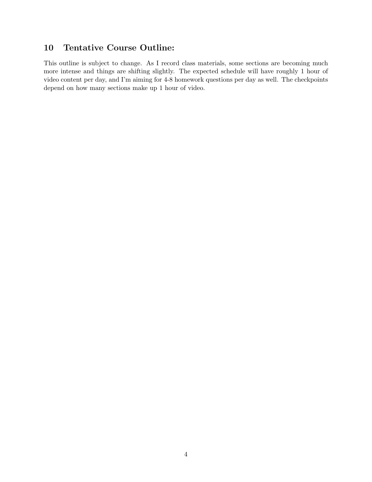## 10 Tentative Course Outline:

This outline is subject to change. As I record class materials, some sections are becoming much more intense and things are shifting slightly. The expected schedule will have roughly 1 hour of video content per day, and I'm aiming for 4-8 homework questions per day as well. The checkpoints depend on how many sections make up 1 hour of video.